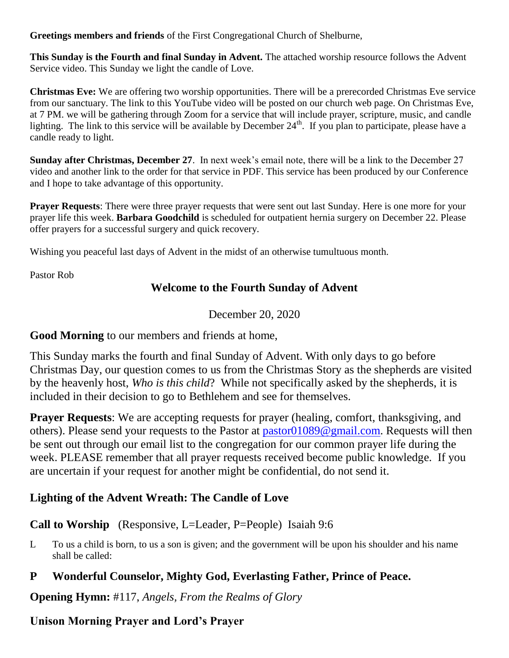**Greetings members and friends** of the First Congregational Church of Shelburne,

**This Sunday is the Fourth and final Sunday in Advent.** The attached worship resource follows the Advent Service video. This Sunday we light the candle of Love.

**Christmas Eve:** We are offering two worship opportunities. There will be a prerecorded Christmas Eve service from our sanctuary. The link to this YouTube video will be posted on our church web page. On Christmas Eve, at 7 PM. we will be gathering through Zoom for a service that will include prayer, scripture, music, and candle lighting. The link to this service will be available by December  $24<sup>th</sup>$ . If you plan to participate, please have a candle ready to light.

**Sunday after Christmas, December 27**. In next week's email note, there will be a link to the December 27 video and another link to the order for that service in PDF. This service has been produced by our Conference and I hope to take advantage of this opportunity.

**Prayer Requests**: There were three prayer requests that were sent out last Sunday. Here is one more for your prayer life this week. **Barbara Goodchild** is scheduled for outpatient hernia surgery on December 22. Please offer prayers for a successful surgery and quick recovery.

Wishing you peaceful last days of Advent in the midst of an otherwise tumultuous month.

Pastor Rob

#### **Welcome to the Fourth Sunday of Advent**

December 20, 2020

**Good Morning** to our members and friends at home,

This Sunday marks the fourth and final Sunday of Advent. With only days to go before Christmas Day, our question comes to us from the Christmas Story as the shepherds are visited by the heavenly host, *Who is this child*? While not specifically asked by the shepherds, it is included in their decision to go to Bethlehem and see for themselves.

**Prayer Requests**: We are accepting requests for prayer (healing, comfort, thanksgiving, and others). Please send your requests to the Pastor at [pastor01089@gmail.com.](mailto:pastor01089@gmail.com) Requests will then be sent out through our email list to the congregation for our common prayer life during the week. PLEASE remember that all prayer requests received become public knowledge. If you are uncertain if your request for another might be confidential, do not send it.

## **Lighting of the Advent Wreath: The Candle of Love**

#### **Call to Worship** (Responsive, L=Leader, P=People) Isaiah 9:6

L To us a child is born, to us a son is given; and the government will be upon his shoulder and his name shall be called:

#### **P Wonderful Counselor, Mighty God, Everlasting Father, Prince of Peace.**

**Opening Hymn:** #117, *Angels, From the Realms of Glory*

**Unison Morning Prayer and Lord's Prayer**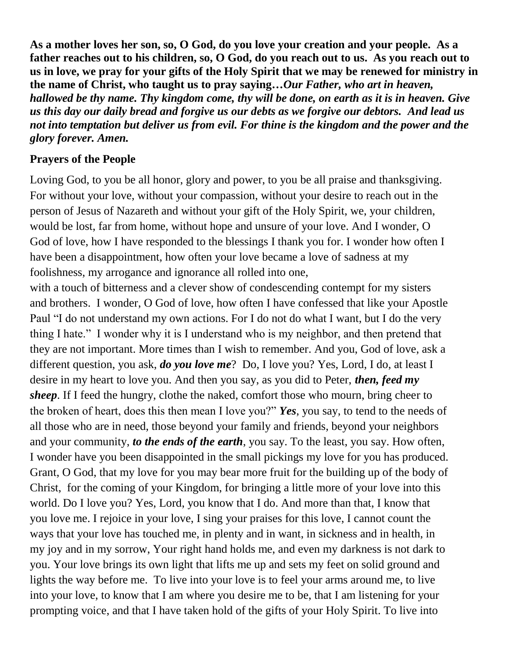**As a mother loves her son, so, O God, do you love your creation and your people. As a father reaches out to his children, so, O God, do you reach out to us. As you reach out to us in love, we pray for your gifts of the Holy Spirit that we may be renewed for ministry in the name of Christ, who taught us to pray saying…***Our Father, who art in heaven, hallowed be thy name. Thy kingdom come, thy will be done, on earth as it is in heaven. Give us this day our daily bread and forgive us our debts as we forgive our debtors. And lead us not into temptation but deliver us from evil. For thine is the kingdom and the power and the glory forever. Amen.*

### **Prayers of the People**

Loving God, to you be all honor, glory and power, to you be all praise and thanksgiving. For without your love, without your compassion, without your desire to reach out in the person of Jesus of Nazareth and without your gift of the Holy Spirit, we, your children, would be lost, far from home, without hope and unsure of your love. And I wonder, O God of love, how I have responded to the blessings I thank you for. I wonder how often I have been a disappointment, how often your love became a love of sadness at my foolishness, my arrogance and ignorance all rolled into one,

with a touch of bitterness and a clever show of condescending contempt for my sisters and brothers. I wonder, O God of love, how often I have confessed that like your Apostle Paul "I do not understand my own actions. For I do not do what I want, but I do the very thing I hate." I wonder why it is I understand who is my neighbor, and then pretend that they are not important. More times than I wish to remember. And you, God of love, ask a different question, you ask, *do you love me*? Do, I love you? Yes, Lord, I do, at least I desire in my heart to love you. And then you say, as you did to Peter, *then, feed my sheep*. If I feed the hungry, clothe the naked, comfort those who mourn, bring cheer to the broken of heart, does this then mean I love you?" *Yes*, you say, to tend to the needs of all those who are in need, those beyond your family and friends, beyond your neighbors and your community, *to the ends of the earth*, you say. To the least, you say. How often, I wonder have you been disappointed in the small pickings my love for you has produced. Grant, O God, that my love for you may bear more fruit for the building up of the body of Christ, for the coming of your Kingdom, for bringing a little more of your love into this world. Do I love you? Yes, Lord, you know that I do. And more than that, I know that you love me. I rejoice in your love, I sing your praises for this love, I cannot count the ways that your love has touched me, in plenty and in want, in sickness and in health, in my joy and in my sorrow, Your right hand holds me, and even my darkness is not dark to you. Your love brings its own light that lifts me up and sets my feet on solid ground and lights the way before me. To live into your love is to feel your arms around me, to live into your love, to know that I am where you desire me to be, that I am listening for your prompting voice, and that I have taken hold of the gifts of your Holy Spirit. To live into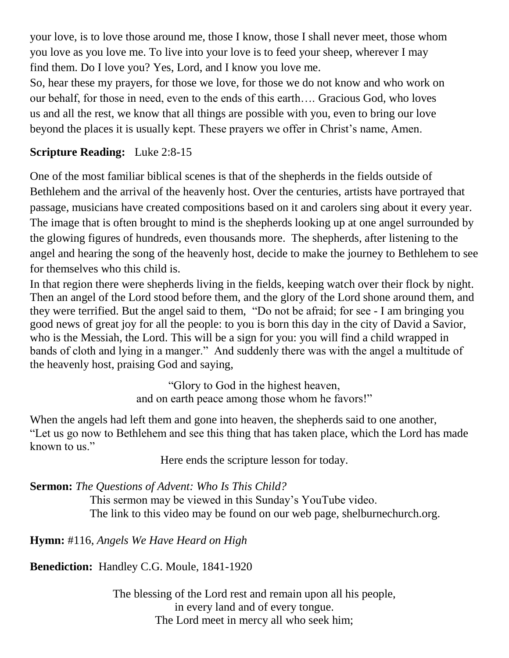your love, is to love those around me, those I know, those I shall never meet, those whom you love as you love me. To live into your love is to feed your sheep, wherever I may find them. Do I love you? Yes, Lord, and I know you love me.

So, hear these my prayers, for those we love, for those we do not know and who work on our behalf, for those in need, even to the ends of this earth…. Gracious God, who loves us and all the rest, we know that all things are possible with you, even to bring our love beyond the places it is usually kept. These prayers we offer in Christ's name, Amen.

# **Scripture Reading:** Luke 2:8-15

One of the most familiar biblical scenes is that of the shepherds in the fields outside of Bethlehem and the arrival of the heavenly host. Over the centuries, artists have portrayed that passage, musicians have created compositions based on it and carolers sing about it every year. The image that is often brought to mind is the shepherds looking up at one angel surrounded by the glowing figures of hundreds, even thousands more. The shepherds, after listening to the angel and hearing the song of the heavenly host, decide to make the journey to Bethlehem to see for themselves who this child is.

In that region there were shepherds living in the fields, keeping watch over their flock by night. Then an angel of the Lord stood before them, and the glory of the Lord shone around them, and they were terrified. But the angel said to them, "Do not be afraid; for see - I am bringing you good news of great joy for all the people: to you is born this day in the city of David a Savior, who is the Messiah, the Lord. This will be a sign for you: you will find a child wrapped in bands of cloth and lying in a manger." And suddenly there was with the angel a multitude of the heavenly host, praising God and saying,

> "Glory to God in the highest heaven, and on earth peace among those whom he favors!"

When the angels had left them and gone into heaven, the shepherds said to one another, "Let us go now to Bethlehem and see this thing that has taken place, which the Lord has made known to us."

Here ends the scripture lesson for today.

**Sermon:** *The Questions of Advent: Who Is This Child?*

This sermon may be viewed in this Sunday's YouTube video. The link to this video may be found on our web page, shelburnechurch.org.

**Hymn:** #116, *Angels We Have Heard on High*

**Benediction:** Handley C.G. Moule, 1841-1920

The blessing of the Lord rest and remain upon all his people, in every land and of every tongue. The Lord meet in mercy all who seek him;